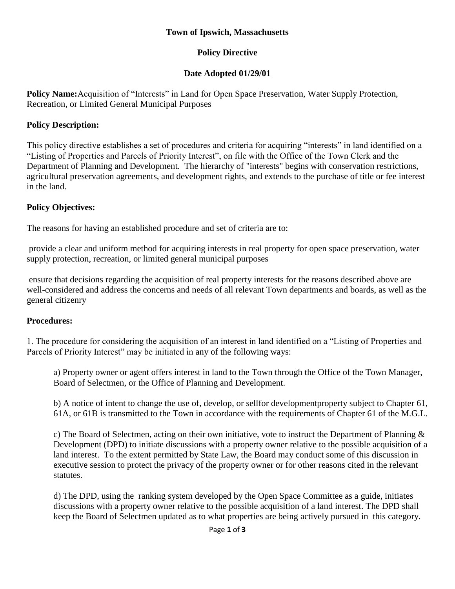#### **Town of Ipswich, Massachusetts**

### **Policy Directive**

## **Date Adopted 01/29/01**

**Policy Name:**Acquisition of "Interests" in Land for Open Space Preservation, Water Supply Protection, Recreation, or Limited General Municipal Purposes

## **Policy Description:**

This policy directive establishes a set of procedures and criteria for acquiring "interests" in land identified on a "Listing of Properties and Parcels of Priority Interest", on file with the Office of the Town Clerk and the Department of Planning and Development. The hierarchy of "interests" begins with conservation restrictions, agricultural preservation agreements, and development rights, and extends to the purchase of title or fee interest in the land.

## **Policy Objectives:**

The reasons for having an established procedure and set of criteria are to:

provide a clear and uniform method for acquiring interests in real property for open space preservation, water supply protection, recreation, or limited general municipal purposes

ensure that decisions regarding the acquisition of real property interests for the reasons described above are well-considered and address the concerns and needs of all relevant Town departments and boards, as well as the general citizenry

# **Procedures:**

1. The procedure for considering the acquisition of an interest in land identified on a "Listing of Properties and Parcels of Priority Interest" may be initiated in any of the following ways:

a) Property owner or agent offers interest in land to the Town through the Office of the Town Manager, Board of Selectmen, or the Office of Planning and Development.

b) A notice of intent to change the use of, develop, or sellfor developmentproperty subject to Chapter 61, 61A, or 61B is transmitted to the Town in accordance with the requirements of Chapter 61 of the M.G.L.

c) The Board of Selectmen, acting on their own initiative, vote to instruct the Department of Planning & Development (DPD) to initiate discussions with a property owner relative to the possible acquisition of a land interest. To the extent permitted by State Law, the Board may conduct some of this discussion in executive session to protect the privacy of the property owner or for other reasons cited in the relevant statutes.

d) The DPD, using the ranking system developed by the Open Space Committee as a guide, initiates discussions with a property owner relative to the possible acquisition of a land interest. The DPD shall keep the Board of Selectmen updated as to what properties are being actively pursued in this category.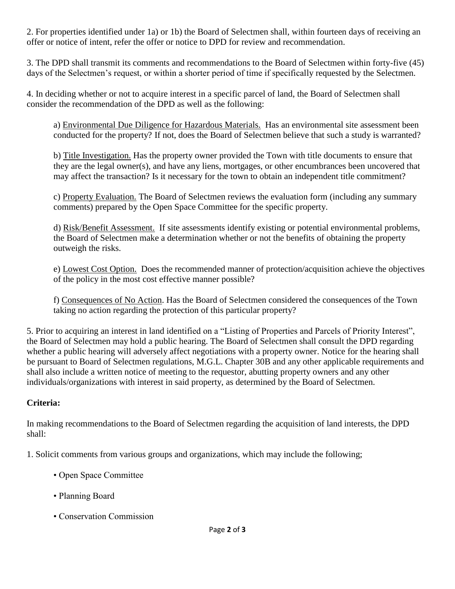2. For properties identified under 1a) or 1b) the Board of Selectmen shall, within fourteen days of receiving an offer or notice of intent, refer the offer or notice to DPD for review and recommendation.

3. The DPD shall transmit its comments and recommendations to the Board of Selectmen within forty-five (45) days of the Selectmen's request, or within a shorter period of time if specifically requested by the Selectmen.

4. In deciding whether or not to acquire interest in a specific parcel of land, the Board of Selectmen shall consider the recommendation of the DPD as well as the following:

a) Environmental Due Diligence for Hazardous Materials. Has an environmental site assessment been conducted for the property? If not, does the Board of Selectmen believe that such a study is warranted?

b) Title Investigation. Has the property owner provided the Town with title documents to ensure that they are the legal owner(s), and have any liens, mortgages, or other encumbrances been uncovered that may affect the transaction? Is it necessary for the town to obtain an independent title commitment?

c) Property Evaluation. The Board of Selectmen reviews the evaluation form (including any summary comments) prepared by the Open Space Committee for the specific property.

d) Risk/Benefit Assessment. If site assessments identify existing or potential environmental problems, the Board of Selectmen make a determination whether or not the benefits of obtaining the property outweigh the risks.

e) Lowest Cost Option. Does the recommended manner of protection/acquisition achieve the objectives of the policy in the most cost effective manner possible?

f) Consequences of No Action. Has the Board of Selectmen considered the consequences of the Town taking no action regarding the protection of this particular property?

5. Prior to acquiring an interest in land identified on a "Listing of Properties and Parcels of Priority Interest", the Board of Selectmen may hold a public hearing. The Board of Selectmen shall consult the DPD regarding whether a public hearing will adversely affect negotiations with a property owner. Notice for the hearing shall be pursuant to Board of Selectmen regulations, M.G.L. Chapter 30B and any other applicable requirements and shall also include a written notice of meeting to the requestor, abutting property owners and any other individuals/organizations with interest in said property, as determined by the Board of Selectmen.

# **Criteria:**

In making recommendations to the Board of Selectmen regarding the acquisition of land interests, the DPD shall:

1. Solicit comments from various groups and organizations, which may include the following;

- Open Space Committee
- Planning Board
- Conservation Commission